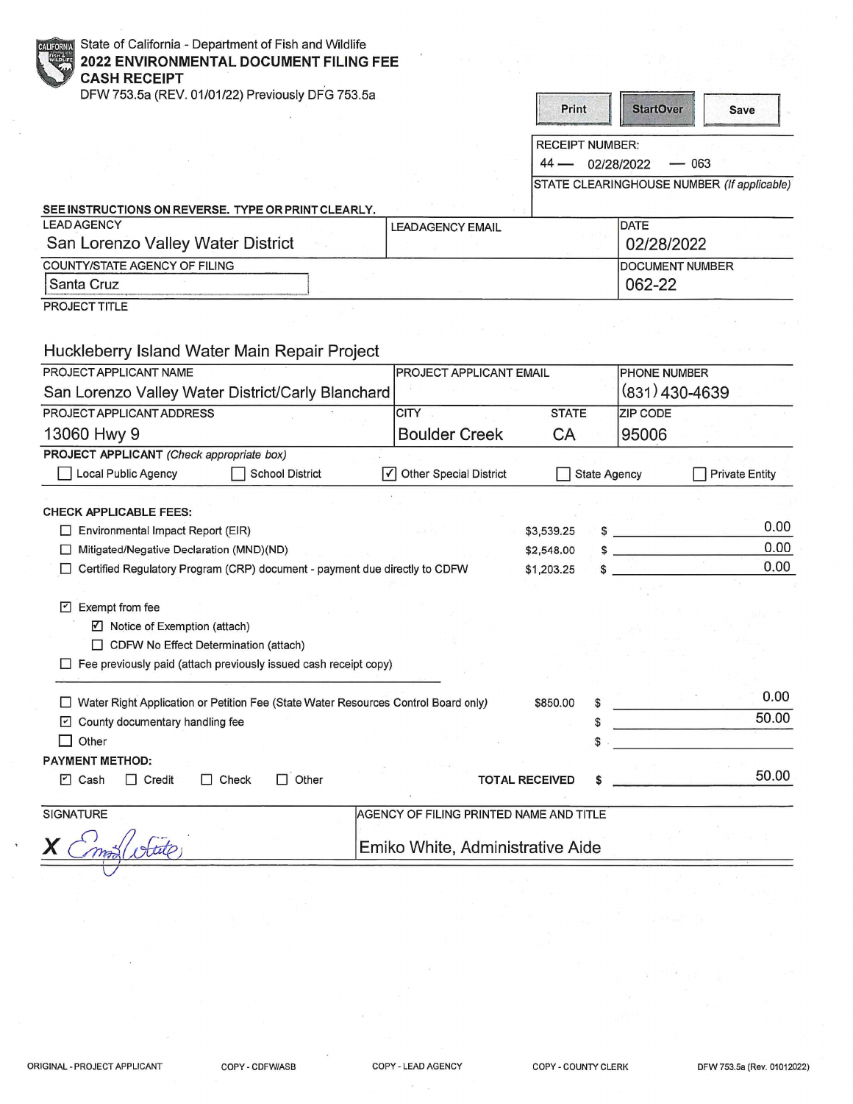| State of California - Department of Fish and Wildlife<br><b>CALIFORN</b><br>2022 ENVIRONMENTAL DOCUMENT FILING FEE<br><b>CASH RECEIPT</b> |                                         |                                |                     |                        |                                            |
|-------------------------------------------------------------------------------------------------------------------------------------------|-----------------------------------------|--------------------------------|---------------------|------------------------|--------------------------------------------|
| DFW 753.5a (REV. 01/01/22) Previously DFG 753.5a                                                                                          |                                         | Print                          |                     | <b>StartOver</b>       | <b>Save</b>                                |
|                                                                                                                                           |                                         |                                |                     |                        |                                            |
|                                                                                                                                           |                                         | <b>RECEIPT NUMBER:</b><br>44 — |                     | — 063                  |                                            |
|                                                                                                                                           |                                         |                                | 02/28/2022          |                        | STATE CLEARINGHOUSE NUMBER (If applicable) |
|                                                                                                                                           |                                         |                                |                     |                        |                                            |
| SEE INSTRUCTIONS ON REVERSE. TYPE OR PRINT CLEARLY.<br><b>LEAD AGENCY</b>                                                                 | <b>LEADAGENCY EMAIL</b>                 |                                |                     | <b>DATE</b>            |                                            |
| San Lorenzo Valley Water District                                                                                                         |                                         |                                |                     | 02/28/2022             |                                            |
| COUNTY/STATE AGENCY OF FILING                                                                                                             |                                         |                                |                     | <b>DOCUMENT NUMBER</b> |                                            |
| Santa Cruz                                                                                                                                |                                         |                                |                     | 062-22                 |                                            |
| PROJECT TITLE                                                                                                                             |                                         |                                |                     |                        |                                            |
| Huckleberry Island Water Main Repair Project<br>PROJECT APPLICANT NAME                                                                    | <b>PROJECT APPLICANT EMAIL</b>          |                                |                     | PHONE NUMBER           |                                            |
| San Lorenzo Valley Water District/Carly Blanchard                                                                                         |                                         |                                |                     | $(831)$ 430-4639       |                                            |
| PROJECT APPLICANT ADDRESS                                                                                                                 | <b>CITY</b>                             | <b>STATE</b>                   |                     | <b>ZIP CODE</b>        |                                            |
| 13060 Hwy 9                                                                                                                               | <b>Boulder Creek</b>                    | <b>CA</b>                      |                     | 95006                  |                                            |
| PROJECT APPLICANT (Check appropriate box)                                                                                                 |                                         |                                |                     |                        |                                            |
| Local Public Agency<br><b>School District</b>                                                                                             | √ Other Special District                |                                | <b>State Agency</b> |                        | <b>Private Entity</b>                      |
|                                                                                                                                           |                                         |                                |                     |                        |                                            |
| <b>CHECK APPLICABLE FEES:</b><br>Environmental Impact Report (EIR)                                                                        |                                         | \$3,539.25                     |                     | $s \sim \frac{1}{2}$   | 0.00                                       |
| Mitigated/Negative Declaration (MND)(ND)                                                                                                  |                                         | \$2,548.00                     |                     |                        | 0.00                                       |
| Certified Regulatory Program (CRP) document - payment due directly to CDFW                                                                |                                         | \$1,203.25                     |                     |                        | 0.00                                       |
|                                                                                                                                           |                                         |                                |                     |                        |                                            |
| Exempt from fee<br>$\vert \cdot \vert$                                                                                                    |                                         |                                |                     |                        |                                            |
| ☑ Notice of Exemption (attach)                                                                                                            |                                         |                                |                     |                        |                                            |
| □ CDFW No Effect Determination (attach)                                                                                                   |                                         |                                |                     |                        |                                            |
| Fee previously paid (attach previously issued cash receipt copy)                                                                          |                                         |                                |                     |                        |                                            |
|                                                                                                                                           |                                         |                                |                     |                        | 0.00                                       |
| □ Water Right Application or Petition Fee (State Water Resources Control Board only)                                                      |                                         | \$850.00                       |                     |                        | 50.00                                      |
| County documentary handling fee                                                                                                           |                                         |                                |                     |                        |                                            |
| Other                                                                                                                                     |                                         |                                |                     |                        |                                            |
| <b>PAYMENT METHOD:</b><br>$\Box$ Other<br><b>7</b> Cash<br>$\Box$ Check<br>$\Box$ Credit                                                  |                                         | <b>TOTAL RECEIVED</b>          |                     |                        | 50.00                                      |
|                                                                                                                                           |                                         |                                |                     |                        |                                            |
| SIGNATURE                                                                                                                                 | AGENCY OF FILING PRINTED NAME AND TITLE |                                |                     |                        |                                            |
|                                                                                                                                           | Emiko White, Administrative Aide        |                                |                     |                        |                                            |

 $\lambda$